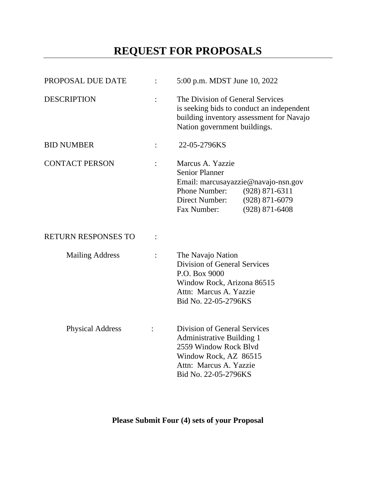# **REQUEST FOR PROPOSALS**

| PROPOSAL DUE DATE          |                | 5:00 p.m. MDST June 10, 2022                                                                                                                                                                   |  |
|----------------------------|----------------|------------------------------------------------------------------------------------------------------------------------------------------------------------------------------------------------|--|
| <b>DESCRIPTION</b>         |                | The Division of General Services<br>is seeking bids to conduct an independent<br>building inventory assessment for Navajo<br>Nation government buildings.                                      |  |
| <b>BID NUMBER</b>          |                | 22-05-2796KS                                                                                                                                                                                   |  |
| <b>CONTACT PERSON</b>      |                | Marcus A. Yazzie<br><b>Senior Planner</b><br>Email: marcusayazzie@navajo-nsn.gov<br>Phone Number:<br>$(928)$ 871-6311<br>$(928)$ 871-6079<br>Direct Number:<br>Fax Number:<br>$(928)$ 871-6408 |  |
| <b>RETURN RESPONSES TO</b> | $\ddot{\cdot}$ |                                                                                                                                                                                                |  |
| <b>Mailing Address</b>     |                | The Navajo Nation<br><b>Division of General Services</b><br>P.O. Box 9000<br>Window Rock, Arizona 86515<br>Attn: Marcus A. Yazzie<br>Bid No. 22-05-2796KS                                      |  |
| <b>Physical Address</b>    |                | <b>Division of General Services</b><br><b>Administrative Building 1</b><br>2559 Window Rock Blyd<br>Window Rock, AZ 86515<br>Attn: Marcus A. Yazzie<br>Bid No. 22-05-2796KS                    |  |

**Please Submit Four (4) sets of your Proposal**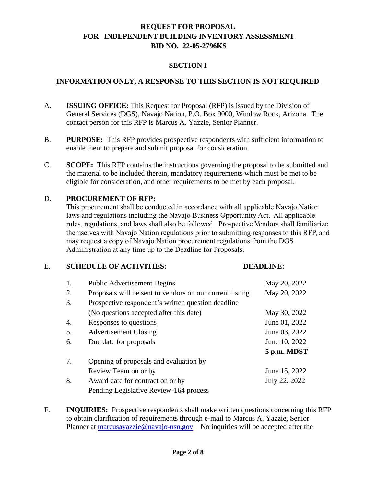#### **SECTION I**

#### **INFORMATION ONLY, A RESPONSE TO THIS SECTION IS NOT REQUIRED**

- A. **ISSUING OFFICE:** This Request for Proposal (RFP) is issued by the Division of General Services (DGS), Navajo Nation, P.O. Box 9000, Window Rock, Arizona. The contact person for this RFP is Marcus A. Yazzie, Senior Planner.
- B. **PURPOSE:** This RFP provides prospective respondents with sufficient information to enable them to prepare and submit proposal for consideration.
- C. **SCOPE:** This RFP contains the instructions governing the proposal to be submitted and the material to be included therein, mandatory requirements which must be met to be eligible for consideration, and other requirements to be met by each proposal.

#### D. **PROCUREMENT OF RFP:**

This procurement shall be conducted in accordance with all applicable Navajo Nation laws and regulations including the Navajo Business Opportunity Act. All applicable rules, regulations, and laws shall also be followed. Prospective Vendors shall familiarize themselves with Navajo Nation regulations prior to submitting responses to this RFP, and may request a copy of Navajo Nation procurement regulations from the DGS Administration at any time up to the Deadline for Proposals.

#### E. **SCHEDULE OF ACTIVITIES: DEADLINE:**

| 1. | <b>Public Advertisement Begins</b>                       | May 20, 2022  |
|----|----------------------------------------------------------|---------------|
| 2. | Proposals will be sent to vendors on our current listing | May 20, 2022  |
| 3. | Prospective respondent's written question deadline       |               |
|    | (No questions accepted after this date)                  | May 30, 2022  |
| 4. | Responses to questions                                   | June 01, 2022 |
| 5. | <b>Advertisement Closing</b>                             | June 03, 2022 |
| 6. | Due date for proposals                                   | June 10, 2022 |
|    |                                                          | 5 p.m. MDST   |
| 7. | Opening of proposals and evaluation by                   |               |
|    | Review Team on or by                                     | June 15, 2022 |
| 8. | Award date for contract on or by                         | July 22, 2022 |
|    | Pending Legislative Review-164 process                   |               |

F. **INQUIRIES:** Prospective respondents shall make written questions concerning this RFP to obtain clarification of requirements through e-mail to Marcus A. Yazzie, Senior Planner at [marcusayazzie@navajo-nsn.gov](mailto:marcusayazzie@navajo-nsn.gov) No inquiries will be accepted after the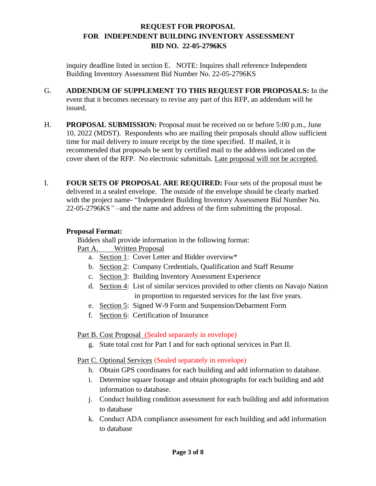inquiry deadline listed in section E. NOTE: Inquires shall reference Independent Building Inventory Assessment Bid Number No. 22-05-2796KS

- G. **ADDENDUM OF SUPPLEMENT TO THIS REQUEST FOR PROPOSALS:** In the event that it becomes necessary to revise any part of this RFP, an addendum will be issued.
- H. **PROPOSAL SUBMISSION:** Proposal must be received on or before 5:00 p.m., June 10, 2022 (MDST). Respondents who are mailing their proposals should allow sufficient time for mail delivery to insure receipt by the time specified. If mailed, it is recommended that proposals be sent by certified mail to the address indicated on the cover sheet of the RFP. No electronic submittals. Late proposal will not be accepted.
- I. **FOUR SETS OF PROPOSAL ARE REQUIRED:** Four sets of the proposal must be delivered in a sealed envelope. The outside of the envelope should be clearly marked with the project name- "Independent Building Inventory Assessment Bid Number No. 22-05-2796KS*"* –and the name and address of the firm submitting the proposal.

#### **Proposal Format:**

Bidders shall provide information in the following format:

#### Part A. Written Proposal

- a. Section 1: Cover Letter and Bidder overview\*
- b. Section 2: Company Credentials, Qualification and Staff Resume
- c. Section 3: Building Inventory Assessment Experience
- d. Section 4: List of similar services provided to other clients on Navajo Nation in proportion to requested services for the last five years.
- e. Section 5: Signed W-9 Form and Suspension/Debarment Form
- f. Section 6: Certification of Insurance

# Part B. Cost Proposal (Sealed separately in envelope)

g. State total cost for Part I and for each optional services in Part II.

# Part C. Optional Services (Sealed separately in envelope)

- h. Obtain GPS coordinates for each building and add information to database.
- i. Determine square footage and obtain photographs for each building and add information to database.
- j. Conduct building condition assessment for each building and add information to database
- k. Conduct ADA compliance assessment for each building and add information to database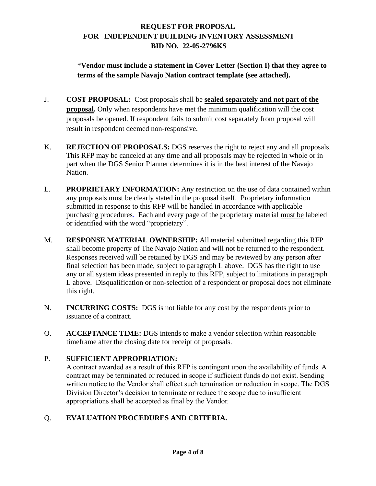\***Vendor must include a statement in Cover Letter (Section I) that they agree to terms of the sample Navajo Nation contract template (see attached).**

- J. **COST PROPOSAL:** Cost proposals shall be **sealed separately and not part of the proposal.** Only when respondents have met the minimum qualification will the cost proposals be opened. If respondent fails to submit cost separately from proposal will result in respondent deemed non-responsive.
- K. **REJECTION OF PROPOSALS:** DGS reserves the right to reject any and all proposals. This RFP may be canceled at any time and all proposals may be rejected in whole or in part when the DGS Senior Planner determines it is in the best interest of the Navajo Nation.
- L. **PROPRIETARY INFORMATION:** Any restriction on the use of data contained within any proposals must be clearly stated in the proposal itself. Proprietary information submitted in response to this RFP will be handled in accordance with applicable purchasing procedures. Each and every page of the proprietary material must be labeled or identified with the word "proprietary".
- M. **RESPONSE MATERIAL OWNERSHIP:** All material submitted regarding this RFP shall become property of The Navajo Nation and will not be returned to the respondent. Responses received will be retained by DGS and may be reviewed by any person after final selection has been made, subject to paragraph L above. DGS has the right to use any or all system ideas presented in reply to this RFP, subject to limitations in paragraph L above. Disqualification or non-selection of a respondent or proposal does not eliminate this right.
- N. **INCURRING COSTS:** DGS is not liable for any cost by the respondents prior to issuance of a contract.
- O. **ACCEPTANCE TIME:** DGS intends to make a vendor selection within reasonable timeframe after the closing date for receipt of proposals.

# P. **SUFFICIENT APPROPRIATION:**

A contract awarded as a result of this RFP is contingent upon the availability of funds. A contract may be terminated or reduced in scope if sufficient funds do not exist. Sending written notice to the Vendor shall effect such termination or reduction in scope. The DGS Division Director's decision to terminate or reduce the scope due to insufficient appropriations shall be accepted as final by the Vendor.

# Q. **EVALUATION PROCEDURES AND CRITERIA.**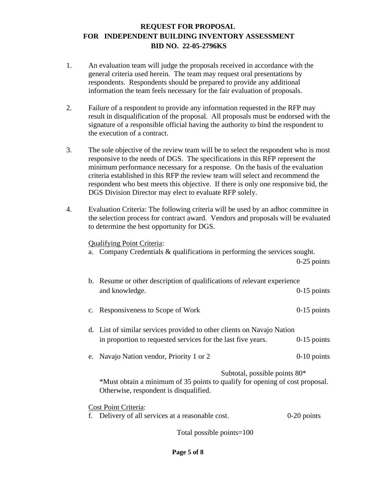- 1. An evaluation team will judge the proposals received in accordance with the general criteria used herein. The team may request oral presentations by respondents. Respondents should be prepared to provide any additional information the team feels necessary for the fair evaluation of proposals.
- 2. Failure of a respondent to provide any information requested in the RFP may result in disqualification of the proposal. All proposals must be endorsed with the signature of a responsible official having the authority to bind the respondent to the execution of a contract.
- 3. The sole objective of the review team will be to select the respondent who is most responsive to the needs of DGS. The specifications in this RFP represent the minimum performance necessary for a response. On the basis of the evaluation criteria established in this RFP the review team will select and recommend the respondent who best meets this objective. If there is only one responsive bid, the DGS Division Director may elect to evaluate RFP solely.
- 4. Evaluation Criteria: The following criteria will be used by an adhoc committee in the selection process for contract award. Vendors and proposals will be evaluated to determine the best opportunity for DGS.

#### Qualifying Point Criteria:

a. Company Credentials & qualifications in performing the services sought.

0-25 points

| b. Resume or other description of qualifications of relevant experience      |               |  |  |
|------------------------------------------------------------------------------|---------------|--|--|
| and knowledge.                                                               | $0-15$ points |  |  |
| c. Responsiveness to Scope of Work                                           | $0-15$ points |  |  |
|                                                                              |               |  |  |
| d. List of similar services provided to other clients on Navajo Nation       |               |  |  |
| in proportion to requested services for the last five years.                 | $0-15$ points |  |  |
| e. Navajo Nation vendor, Priority 1 or 2                                     | $0-10$ points |  |  |
|                                                                              |               |  |  |
| Subtotal, possible points $80*$                                              |               |  |  |
| *Must obtain a minimum of 35 points to qualify for opening of cost proposal. |               |  |  |
| Otherwise, respondent is disqualified.                                       |               |  |  |
| <b>Cost Point Criteria:</b>                                                  |               |  |  |
| f. Delivery of all services at a reasonable cost.                            | $0-20$ points |  |  |
|                                                                              |               |  |  |

Total possible points=100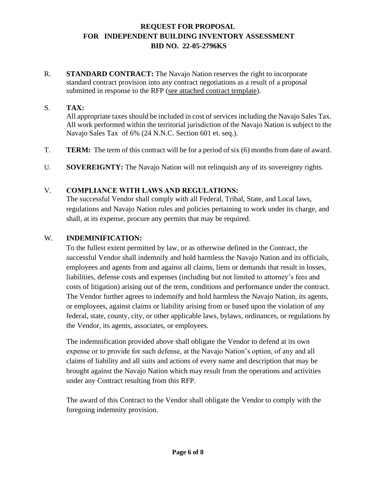R. **STANDARD CONTRACT:** The Navajo Nation reserves the right to incorporate standard contract provision into any contract negotiations as a result of a proposal submitted in response to the RFP (see attached contract template).

# S. **TAX:**

All appropriate taxes should be included in cost of services including the Navajo Sales Tax. All work performed within the territorial jurisdiction of the Navajo Nation is subject to the Navajo Sales Tax of 6% (24 N.N.C. Section 601 et. seq.).

- T. **TERM:** The term of this contract will be for a period of six (6) months from date of award.
- U. **SOVEREIGNTY:** The Navajo Nation will not relinquish any of its sovereignty rights.

#### V. **COMPLIANCE WITH LAWS AND REGULATIONS:**

The successful Vendor shall comply with all Federal, Tribal, State, and Local laws, regulations and Navajo Nation rules and policies pertaining to work under its charge, and shall, at its expense, procure any permits that may be required.

#### W. **INDEMINIFICATION:**

To the fullest extent permitted by law, or as otherwise defined in the Contract, the successful Vendor shall indemnify and hold harmless the Navajo Nation and its officials, employees and agents from and against all claims, liens or demands that result in losses, liabilities, defense costs and expenses (including but not limited to attorney's fees and costs of litigation) arising out of the term, conditions and performance under the contract. The Vendor further agrees to indemnify and hold harmless the Navajo Nation, its agents, or employees, against claims or liability arising from or based upon the violation of any federal, state, county, city, or other applicable laws, bylaws, ordinances, or regulations by the Vendor, its agents, associates, or employees.

The indemnification provided above shall obligate the Vendor to defend at its own expense or to provide for such defense, at the Navajo Nation's option, of any and all claims of liability and all suits and actions of every name and description that may be brought against the Navajo Nation which may result from the operations and activities under any Contract resulting from this RFP.

The award of this Contract to the Vendor shall obligate the Vendor to comply with the foregoing indemnity provision.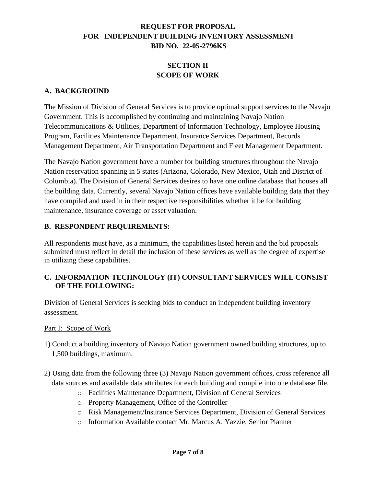# **SECTION II SCOPE OF WORK**

#### **A. BACKGROUND**

The Mission of Division of General Services is to provide optimal support services to the Navajo Government. This is accomplished by continuing and maintaining Navajo Nation Telecommunications & Utilities, Department of Information Technology, Employee Housing Program, Facilities Maintenance Department, Insurance Services Department, Records Management Department, Air Transportation Department and Fleet Management Department.

The Navajo Nation government have a number for building structures throughout the Navajo Nation reservation spanning in 5 states (Arizona, Colorado, New Mexico, Utah and District of Columbia). The Division of General Services desires to have one online database that houses all the building data. Currently, several Navajo Nation offices have available building data that they have compiled and used in in their respective responsibilities whether it be for building maintenance, insurance coverage or asset valuation.

#### **B. RESPONDENT REQUIREMENTS:**

All respondents must have, as a minimum, the capabilities listed herein and the bid proposals submitted must reflect in detail the inclusion of these services as well as the degree of expertise in utilizing these capabilities.

#### **C. INFORMATION TECHNOLOGY (IT) CONSULTANT SERVICES WILL CONSIST OF THE FOLLOWING:**

Division of General Services is seeking bids to conduct an independent building inventory assessment.

Part I: Scope of Work

- 1) Conduct a building inventory of Navajo Nation government owned building structures, up to 1,500 buildings, maximum.
- 2) Using data from the following three (3) Navajo Nation government offices, cross reference all data sources and available data attributes for each building and compile into one database file.
	- o Facilities Maintenance Department, Division of General Services
	- o Property Management, Office of the Controller
	- o Risk Management/Insurance Services Department, Division of General Services
	- o Information Available contact Mr. Marcus A. Yazzie, Senior Planner